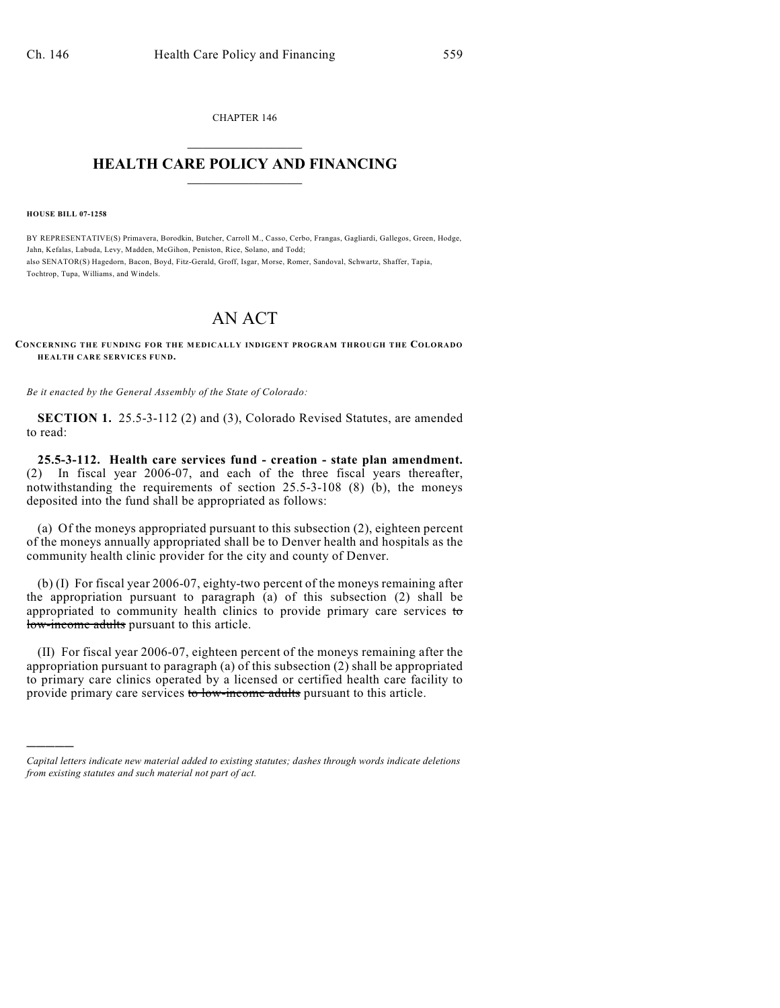CHAPTER 146  $\mathcal{L}_\text{max}$  . The set of the set of the set of the set of the set of the set of the set of the set of the set of the set of the set of the set of the set of the set of the set of the set of the set of the set of the set

## **HEALTH CARE POLICY AND FINANCING**  $\_$   $\_$   $\_$   $\_$   $\_$   $\_$   $\_$   $\_$

**HOUSE BILL 07-1258**

)))))

BY REPRESENTATIVE(S) Primavera, Borodkin, Butcher, Carroll M., Casso, Cerbo, Frangas, Gagliardi, Gallegos, Green, Hodge, Jahn, Kefalas, Labuda, Levy, Madden, McGihon, Peniston, Rice, Solano, and Todd; also SENATOR(S) Hagedorn, Bacon, Boyd, Fitz-Gerald, Groff, Isgar, Morse, Romer, Sandoval, Schwartz, Shaffer, Tapia, Tochtrop, Tupa, Williams, and Windels.

## AN ACT

## **CONCERNING THE FUNDING FOR THE MEDICALLY INDIGENT PROGRAM THROUGH THE COLORADO HEALTH CARE SERVICES FUND.**

*Be it enacted by the General Assembly of the State of Colorado:*

**SECTION 1.** 25.5-3-112 (2) and (3), Colorado Revised Statutes, are amended to read:

**25.5-3-112. Health care services fund - creation - state plan amendment.** (2) In fiscal year 2006-07, and each of the three fiscal years thereafter, notwithstanding the requirements of section 25.5-3-108 (8) (b), the moneys deposited into the fund shall be appropriated as follows:

(a) Of the moneys appropriated pursuant to this subsection (2), eighteen percent of the moneys annually appropriated shall be to Denver health and hospitals as the community health clinic provider for the city and county of Denver.

(b) (I) For fiscal year 2006-07, eighty-two percent of the moneys remaining after the appropriation pursuant to paragraph (a) of this subsection (2) shall be appropriated to community health clinics to provide primary care services to low-income adults pursuant to this article.

(II) For fiscal year 2006-07, eighteen percent of the moneys remaining after the appropriation pursuant to paragraph (a) of this subsection (2) shall be appropriated to primary care clinics operated by a licensed or certified health care facility to provide primary care services to low-income adults pursuant to this article.

*Capital letters indicate new material added to existing statutes; dashes through words indicate deletions from existing statutes and such material not part of act.*